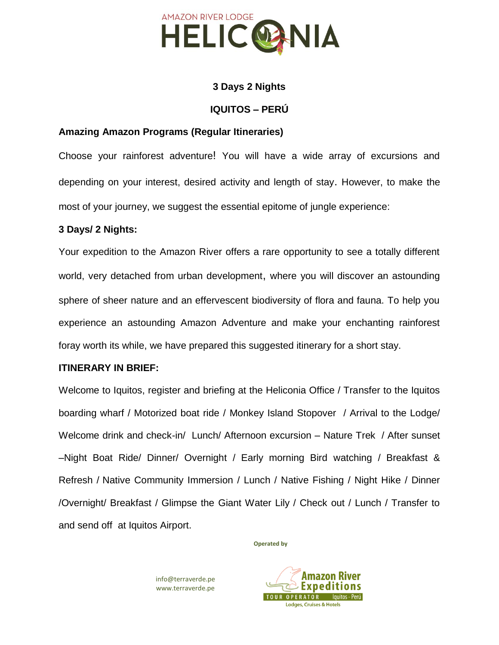

# **3 Days 2 Nights**

### **IQUITOS – PERÚ**

# **Amazing Amazon Programs (Regular Itineraries)**

Choose your rainforest adventure! You will have a wide array of excursions and depending on your interest, desired activity and length of stay. However, to make the most of your journey, we suggest the essential epitome of jungle experience:

### **3 Days/ 2 Nights:**

Your expedition to the Amazon River offers a rare opportunity to see a totally different world, very detached from urban development, where you will discover an astounding sphere of sheer nature and an effervescent biodiversity of flora and fauna. To help you experience an astounding Amazon Adventure and make your enchanting rainforest foray worth its while, we have prepared this suggested itinerary for a short stay.

### **ITINERARY IN BRIEF:**

Welcome to Iquitos, register and briefing at the Heliconia Office / Transfer to the Iquitos boarding wharf / Motorized boat ride / Monkey Island Stopover / Arrival to the Lodge/ Welcome drink and check-in/ Lunch/ Afternoon excursion – Nature Trek / After sunset –Night Boat Ride/ Dinner/ Overnight / Early morning Bird watching / Breakfast & Refresh / Native Community Immersion / Lunch / Native Fishing / Night Hike / Dinner /Overnight/ Breakfast / Glimpse the Giant Water Lily / Check out / Lunch / Transfer to and send off at Iquitos Airport.

**Operated by**

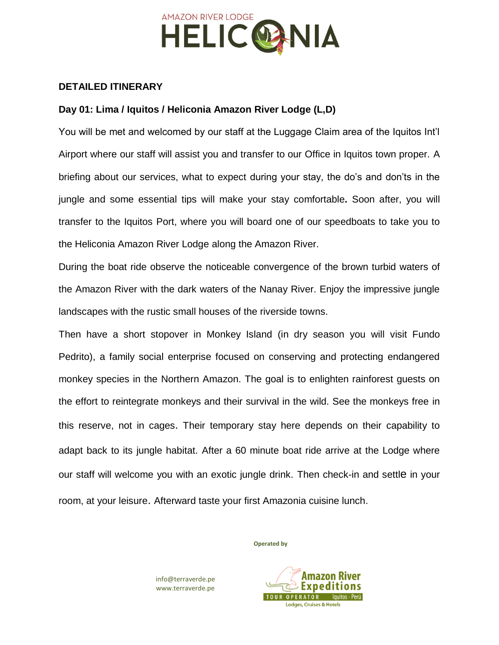

### **DETAILED ITINERARY**

# **Day 01: Lima / Iquitos / Heliconia Amazon River Lodge (L,D)**

You will be met and welcomed by our staff at the Luggage Claim area of the Iquitos Int'l Airport where our staff will assist you and transfer to our Office in Iquitos town proper. A briefing about our services, what to expect during your stay, the do's and don'ts in the jungle and some essential tips will make your stay comfortable**.** Soon after, you will transfer to the Iquitos Port, where you will board one of our speedboats to take you to the Heliconia Amazon River Lodge along the Amazon River.

During the boat ride observe the noticeable convergence of the brown turbid waters of the Amazon River with the dark waters of the Nanay River. Enjoy the impressive jungle landscapes with the rustic small houses of the riverside towns.

Then have a short stopover in Monkey Island (in dry season you will visit Fundo Pedrito), a family social enterprise focused on conserving and protecting endangered monkey species in the Northern Amazon. The goal is to enlighten rainforest guests on the effort to reintegrate monkeys and their survival in the wild. See the monkeys free in this reserve, not in cages. Their temporary stay here depends on their capability to adapt back to its jungle habitat. After a 60 minute boat ride arrive at the Lodge where our staff will welcome you with an exotic jungle drink. Then check-in and settle in your room, at your leisure. Afterward taste your first Amazonia cuisine lunch.

**Operated by**



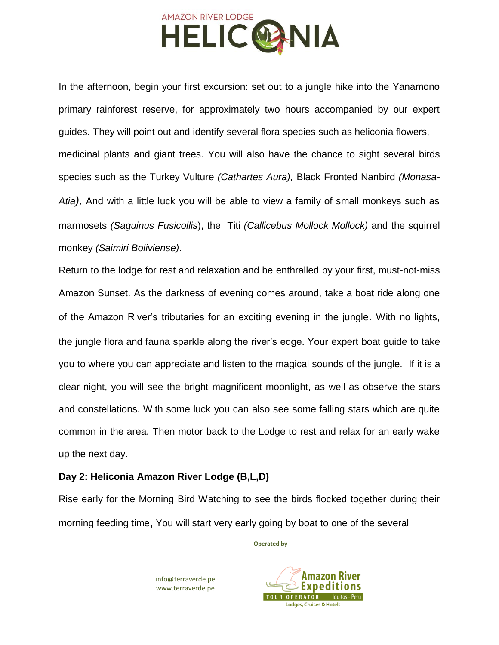

In the afternoon, begin your first excursion: set out to a jungle hike into the Yanamono primary rainforest reserve, for approximately two hours accompanied by our expert guides. They will point out and identify several flora species such as heliconia flowers, medicinal plants and giant trees. You will also have the chance to sight several birds species such as the Turkey Vulture *(Cathartes Aura),* Black Fronted Nanbird *(Monasa-Atia),* And with a little luck you will be able to view a family of small monkeys such as marmosets *(Saguinus Fusicollis*), the Titi *(Callicebus Mollock Mollock)* and the squirrel monkey *(Saimiri Boliviense)*.

Return to the lodge for rest and relaxation and be enthralled by your first, must-not-miss Amazon Sunset. As the darkness of evening comes around, take a boat ride along one of the Amazon River's tributaries for an exciting evening in the jungle. With no lights, the jungle flora and fauna sparkle along the river's edge. Your expert boat guide to take you to where you can appreciate and listen to the magical sounds of the jungle. If it is a clear night, you will see the bright magnificent moonlight, as well as observe the stars and constellations. With some luck you can also see some falling stars which are quite common in the area. Then motor back to the Lodge to rest and relax for an early wake up the next day.

### **Day 2: Heliconia Amazon River Lodge (B,L,D)**

Rise early for the Morning Bird Watching to see the birds flocked together during their morning feeding time, You will start very early going by boat to one of the several

**Operated by**

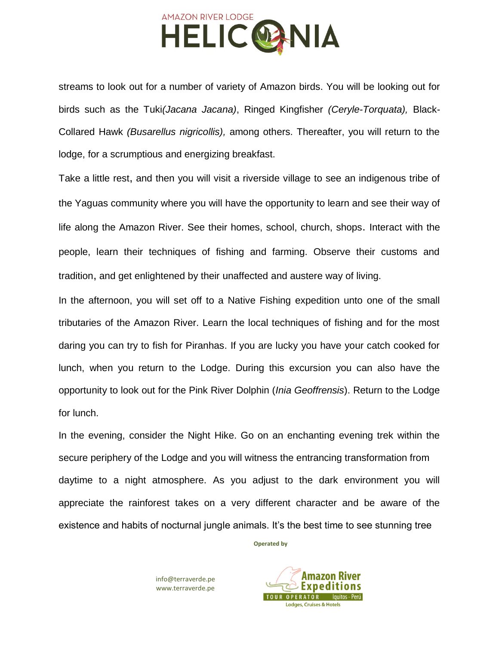

streams to look out for a number of variety of Amazon birds. You will be looking out for birds such as the Tuki*(Jacana Jacana)*, Ringed Kingfisher *(Ceryle-Torquata),* Black-Collared Hawk *(Busarellus nigricollis),* among others. Thereafter, you will return to the lodge, for a scrumptious and energizing breakfast.

Take a little rest, and then you will visit a riverside village to see an indigenous tribe of the Yaguas community where you will have the opportunity to learn and see their way of life along the Amazon River. See their homes, school, church, shops. Interact with the people, learn their techniques of fishing and farming. Observe their customs and tradition, and get enlightened by their unaffected and austere way of living.

In the afternoon, you will set off to a Native Fishing expedition unto one of the small tributaries of the Amazon River. Learn the local techniques of fishing and for the most daring you can try to fish for Piranhas. If you are lucky you have your catch cooked for lunch, when you return to the Lodge. During this excursion you can also have the opportunity to look out for the Pink River Dolphin (*Inia Geoffrensis*). Return to the Lodge for lunch.

In the evening, consider the Night Hike. Go on an enchanting evening trek within the secure periphery of the Lodge and you will witness the entrancing transformation from daytime to a night atmosphere. As you adjust to the dark environment you will appreciate the rainforest takes on a very different character and be aware of the existence and habits of nocturnal jungle animals. It's the best time to see stunning tree

**Operated by**

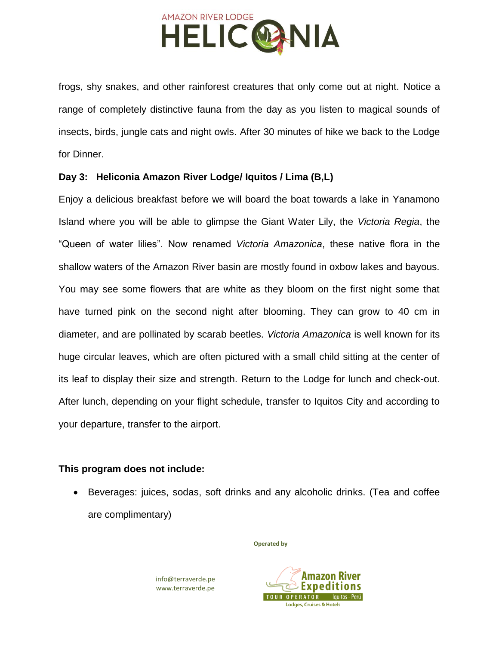

frogs, shy snakes, and other rainforest creatures that only come out at night. Notice a range of completely distinctive fauna from the day as you listen to magical sounds of insects, birds, jungle cats and night owls. After 30 minutes of hike we back to the Lodge for Dinner.

# **Day 3: Heliconia Amazon River Lodge/ Iquitos / Lima (B,L)**

Enjoy a delicious breakfast before we will board the boat towards a lake in Yanamono Island where you will be able to glimpse the Giant Water Lily, the *Victoria Regia*, the "Queen of water lilies". Now renamed *Victoria Amazonica*, these native flora in the shallow waters of the Amazon River basin are mostly found in oxbow lakes and bayous. You may see some flowers that are white as they bloom on the first night some that have turned pink on the second night after blooming. They can grow to 40 cm in diameter, and are pollinated by scarab beetles. *Victoria Amazonica* is well known for its huge circular leaves, which are often pictured with a small child sitting at the center of its leaf to display their size and strength. Return to the Lodge for lunch and check-out. After lunch, depending on your flight schedule, transfer to Iquitos City and according to your departure, transfer to the airport.

### **This program does not include:**

• Beverages: juices, sodas, soft drinks and any alcoholic drinks. (Tea and coffee are complimentary)

**Operated by**

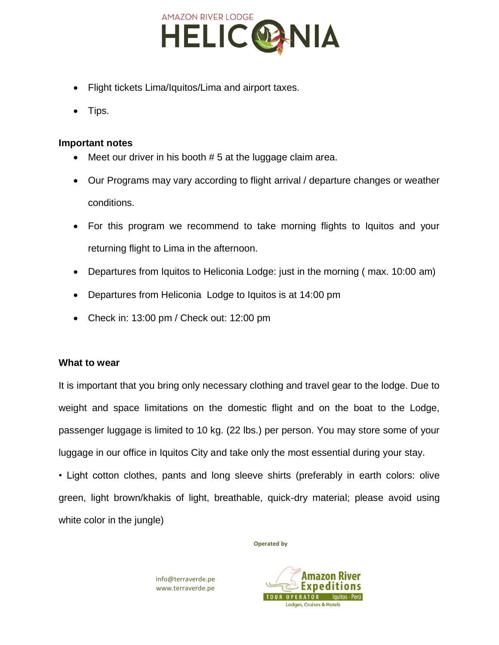

- Flight tickets Lima/Iquitos/Lima and airport taxes.
- Tips.

#### **Important notes**

- Meet our driver in his booth  $# 5$  at the luggage claim area.
- Our Programs may vary according to flight arrival / departure changes or weather conditions.
- For this program we recommend to take morning flights to Iquitos and your returning flight to Lima in the afternoon.
- Departures from Iquitos to Heliconia Lodge: just in the morning ( max. 10:00 am)
- Departures from Heliconia Lodge to Iquitos is at 14:00 pm
- Check in: 13:00 pm / Check out: 12:00 pm

### **What to wear**

It is important that you bring only necessary clothing and travel gear to the lodge. Due to weight and space limitations on the domestic flight and on the boat to the Lodge, passenger luggage is limited to 10 kg. (22 lbs.) per person. You may store some of your luggage in our office in Iquitos City and take only the most essential during your stay.

• Light cotton clothes, pants and long sleeve shirts (preferably in earth colors: olive green, light brown/khakis of light, breathable, quick-dry material; please avoid using white color in the jungle)

**Operated by**